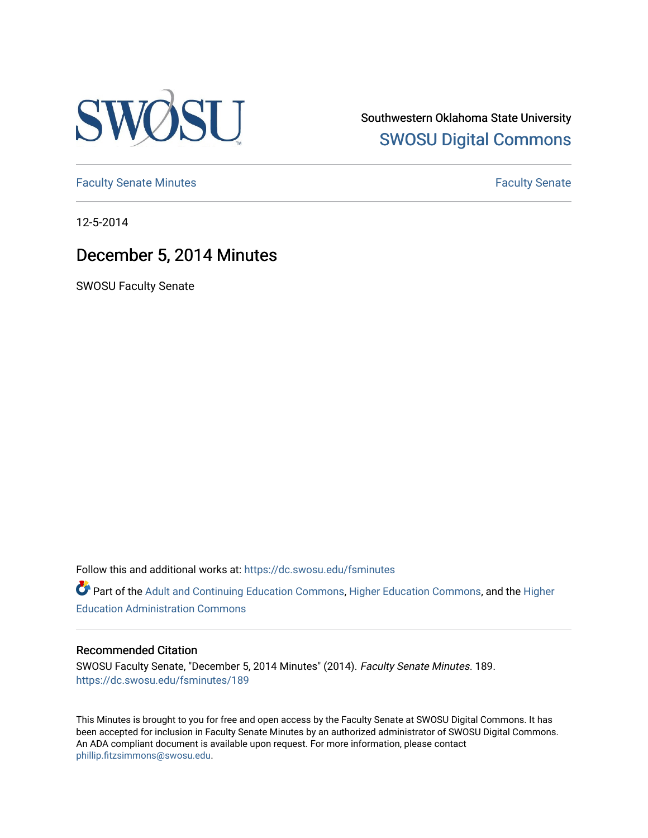

Southwestern Oklahoma State University [SWOSU Digital Commons](https://dc.swosu.edu/) 

[Faculty Senate Minutes](https://dc.swosu.edu/fsminutes) **Faculty** Senate Minutes

12-5-2014

# December 5, 2014 Minutes

SWOSU Faculty Senate

Follow this and additional works at: [https://dc.swosu.edu/fsminutes](https://dc.swosu.edu/fsminutes?utm_source=dc.swosu.edu%2Ffsminutes%2F189&utm_medium=PDF&utm_campaign=PDFCoverPages) 

Part of the [Adult and Continuing Education Commons,](http://network.bepress.com/hgg/discipline/1375?utm_source=dc.swosu.edu%2Ffsminutes%2F189&utm_medium=PDF&utm_campaign=PDFCoverPages) [Higher Education Commons,](http://network.bepress.com/hgg/discipline/1245?utm_source=dc.swosu.edu%2Ffsminutes%2F189&utm_medium=PDF&utm_campaign=PDFCoverPages) and the [Higher](http://network.bepress.com/hgg/discipline/791?utm_source=dc.swosu.edu%2Ffsminutes%2F189&utm_medium=PDF&utm_campaign=PDFCoverPages) [Education Administration Commons](http://network.bepress.com/hgg/discipline/791?utm_source=dc.swosu.edu%2Ffsminutes%2F189&utm_medium=PDF&utm_campaign=PDFCoverPages) 

#### Recommended Citation

SWOSU Faculty Senate, "December 5, 2014 Minutes" (2014). Faculty Senate Minutes. 189. [https://dc.swosu.edu/fsminutes/189](https://dc.swosu.edu/fsminutes/189?utm_source=dc.swosu.edu%2Ffsminutes%2F189&utm_medium=PDF&utm_campaign=PDFCoverPages) 

This Minutes is brought to you for free and open access by the Faculty Senate at SWOSU Digital Commons. It has been accepted for inclusion in Faculty Senate Minutes by an authorized administrator of SWOSU Digital Commons. An ADA compliant document is available upon request. For more information, please contact [phillip.fitzsimmons@swosu.edu](mailto:phillip.fitzsimmons@swosu.edu).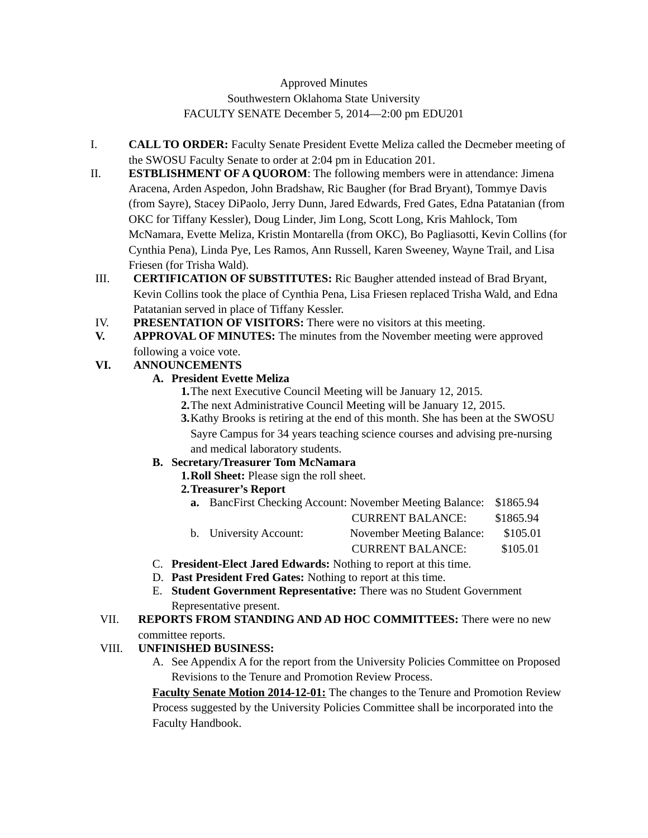# Approved Minutes Southwestern Oklahoma State University FACULTY SENATE December 5, 2014—2:00 pm EDU201

- I. **CALL TO ORDER:** Faculty Senate President Evette Meliza called the Decmeber meeting of the SWOSU Faculty Senate to order at 2:04 pm in Education 201.
- II. **ESTBLISHMENT OF A QUOROM**: The following members were in attendance: Jimena Aracena, Arden Aspedon, John Bradshaw, Ric Baugher (for Brad Bryant), Tommye Davis (from Sayre), Stacey DiPaolo, Jerry Dunn, Jared Edwards, Fred Gates, Edna Patatanian (from OKC for Tiffany Kessler), Doug Linder, Jim Long, Scott Long, Kris Mahlock, Tom McNamara, Evette Meliza, Kristin Montarella (from OKC), Bo Pagliasotti, Kevin Collins (for Cynthia Pena), Linda Pye, Les Ramos, Ann Russell, Karen Sweeney, Wayne Trail, and Lisa Friesen (for Trisha Wald).
- III. **CERTIFICATION OF SUBSTITUTES:** Ric Baugher attended instead of Brad Bryant, Kevin Collins took the place of Cynthia Pena, Lisa Friesen replaced Trisha Wald, and Edna Patatanian served in place of Tiffany Kessler.
- IV. **PRESENTATION OF VISITORS:** There were no visitors at this meeting.
- **V. APPROVAL OF MINUTES:** The minutes from the November meeting were approved following a voice vote.

# **VI. ANNOUNCEMENTS**

## **A. President Evette Meliza**

- **1.**The next Executive Council Meeting will be January 12, 2015.
- **2.**The next Administrative Council Meeting will be January 12, 2015.
- **3.**Kathy Brooks is retiring at the end of this month. She has been at the SWOSU Sayre Campus for 34 years teaching science courses and advising pre-nursing and medical laboratory students.

## **B. Secretary/Treasurer Tom McNamara**

- **1.Roll Sheet:** Please sign the roll sheet.
- **2.Treasurer's Report**
	- **a.** BancFirst Checking Account: November Meeting Balance: \$1865.94

|                        | <b>CURRENT BALANCE:</b>   | \$1865.94 |
|------------------------|---------------------------|-----------|
| b. University Account: | November Meeting Balance: | \$105.01  |
|                        | <b>CURRENT BALANCE:</b>   | \$105.01  |

- C. **President-Elect Jared Edwards:** Nothing to report at this time.
- D. **Past President Fred Gates:** Nothing to report at this time.
- E. **Student Government Representative:** There was no Student Government Representative present.

#### VII. **REPORTS FROM STANDING AND AD HOC COMMITTEES:** There were no new committee reports.

## VIII. **UNFINISHED BUSINESS:**

A. See Appendix A for the report from the University Policies Committee on Proposed Revisions to the Tenure and Promotion Review Process.

**Faculty Senate Motion 2014-12-01:** The changes to the Tenure and Promotion Review Process suggested by the University Policies Committee shall be incorporated into the Faculty Handbook.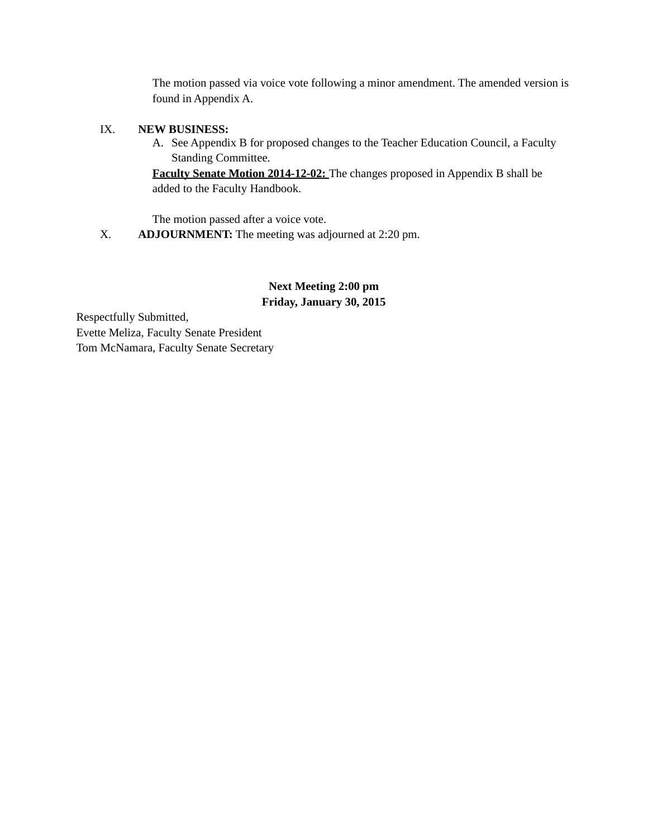The motion passed via voice vote following a minor amendment. The amended version is found in Appendix A.

#### IX. **NEW BUSINESS:**

A. See Appendix B for proposed changes to the Teacher Education Council, a Faculty Standing Committee.

**Faculty Senate Motion 2014-12-02:** The changes proposed in Appendix B shall be added to the Faculty Handbook.

The motion passed after a voice vote.

X. **ADJOURNMENT:** The meeting was adjourned at 2:20 pm.

# **Next Meeting 2:00 pm Friday, January 30, 2015**

Respectfully Submitted, Evette Meliza, Faculty Senate President Tom McNamara, Faculty Senate Secretary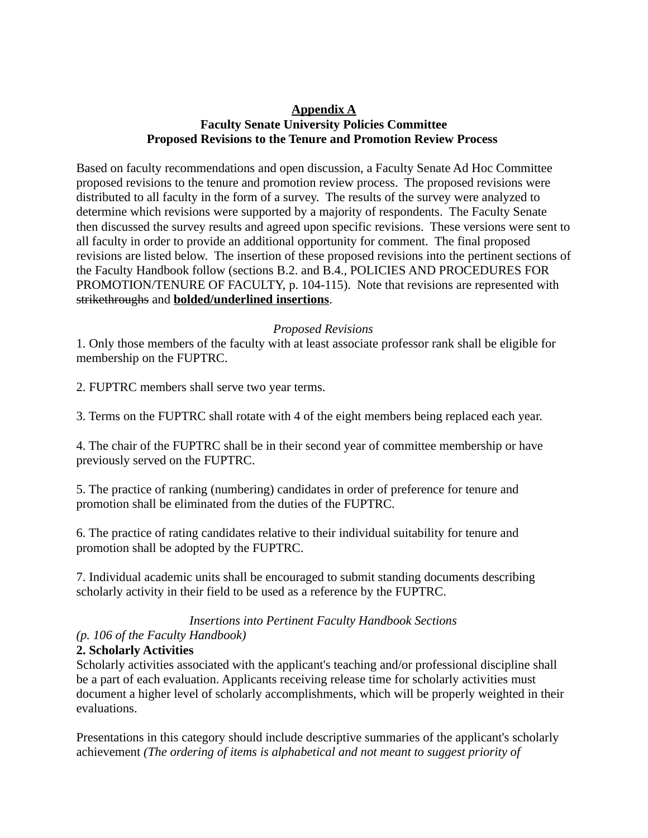# **Appendix A Faculty Senate University Policies Committee Proposed Revisions to the Tenure and Promotion Review Process**

Based on faculty recommendations and open discussion, a Faculty Senate Ad Hoc Committee proposed revisions to the tenure and promotion review process. The proposed revisions were distributed to all faculty in the form of a survey. The results of the survey were analyzed to determine which revisions were supported by a majority of respondents. The Faculty Senate then discussed the survey results and agreed upon specific revisions. These versions were sent to all faculty in order to provide an additional opportunity for comment. The final proposed revisions are listed below. The insertion of these proposed revisions into the pertinent sections of the Faculty Handbook follow (sections B.2. and B.4., POLICIES AND PROCEDURES FOR PROMOTION/TENURE OF FACULTY, p. 104-115). Note that revisions are represented with strikethroughs and **bolded/underlined insertions**.

## *Proposed Revisions*

1. Only those members of the faculty with at least associate professor rank shall be eligible for membership on the FUPTRC.

2. FUPTRC members shall serve two year terms.

3. Terms on the FUPTRC shall rotate with 4 of the eight members being replaced each year.

4. The chair of the FUPTRC shall be in their second year of committee membership or have previously served on the FUPTRC.

5. The practice of ranking (numbering) candidates in order of preference for tenure and promotion shall be eliminated from the duties of the FUPTRC.

6. The practice of rating candidates relative to their individual suitability for tenure and promotion shall be adopted by the FUPTRC.

7. Individual academic units shall be encouraged to submit standing documents describing scholarly activity in their field to be used as a reference by the FUPTRC.

## *Insertions into Pertinent Faculty Handbook Sections*

# *(p. 106 of the Faculty Handbook)*

# **2. Scholarly Activities**

Scholarly activities associated with the applicant's teaching and/or professional discipline shall be a part of each evaluation. Applicants receiving release time for scholarly activities must document a higher level of scholarly accomplishments, which will be properly weighted in their evaluations.

Presentations in this category should include descriptive summaries of the applicant's scholarly achievement *(The ordering of items is alphabetical and not meant to suggest priority of*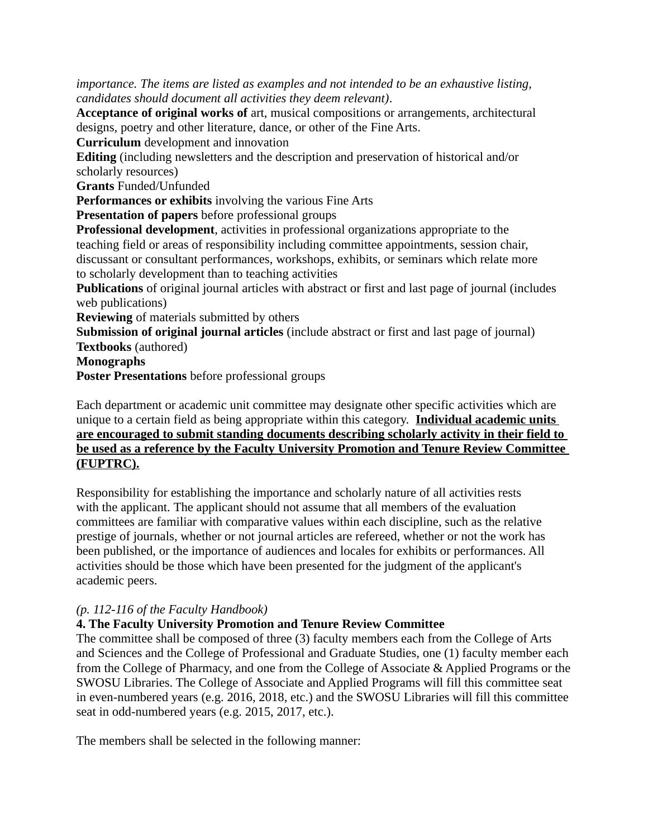*importance. The items are listed as examples and not intended to be an exhaustive listing, candidates should document all activities they deem relevant)*.

**Acceptance of original works of** art, musical compositions or arrangements, architectural designs, poetry and other literature, dance, or other of the Fine Arts.

**Curriculum** development and innovation

**Editing** (including newsletters and the description and preservation of historical and/or scholarly resources)

**Grants** Funded/Unfunded

**Performances or exhibits** involving the various Fine Arts

**Presentation of papers** before professional groups

**Professional development**, activities in professional organizations appropriate to the teaching field or areas of responsibility including committee appointments, session chair, discussant or consultant performances, workshops, exhibits, or seminars which relate more to scholarly development than to teaching activities

**Publications** of original journal articles with abstract or first and last page of journal (includes web publications)

**Reviewing** of materials submitted by others

**Submission of original journal articles** (include abstract or first and last page of journal) **Textbooks** (authored)

**Monographs**

**Poster Presentations** before professional groups

Each department or academic unit committee may designate other specific activities which are unique to a certain field as being appropriate within this category. **Individual academic units are encouraged to submit standing documents describing scholarly activity in their field to be used as a reference by the Faculty University Promotion and Tenure Review Committee (FUPTRC).**

Responsibility for establishing the importance and scholarly nature of all activities rests with the applicant. The applicant should not assume that all members of the evaluation committees are familiar with comparative values within each discipline, such as the relative prestige of journals, whether or not journal articles are refereed, whether or not the work has been published, or the importance of audiences and locales for exhibits or performances. All activities should be those which have been presented for the judgment of the applicant's academic peers.

# *(p. 112-116 of the Faculty Handbook)*

# **4. The Faculty University Promotion and Tenure Review Committee**

The committee shall be composed of three (3) faculty members each from the College of Arts and Sciences and the College of Professional and Graduate Studies, one (1) faculty member each from the College of Pharmacy, and one from the College of Associate & Applied Programs or the SWOSU Libraries. The College of Associate and Applied Programs will fill this committee seat in even-numbered years (e.g. 2016, 2018, etc.) and the SWOSU Libraries will fill this committee seat in odd-numbered years (e.g. 2015, 2017, etc.).

The members shall be selected in the following manner: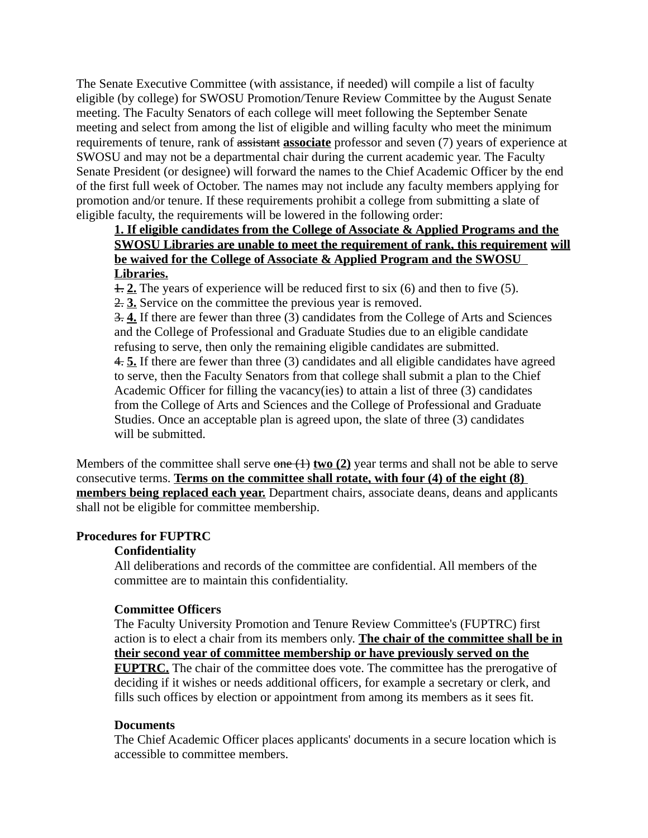The Senate Executive Committee (with assistance, if needed) will compile a list of faculty eligible (by college) for SWOSU Promotion/Tenure Review Committee by the August Senate meeting. The Faculty Senators of each college will meet following the September Senate meeting and select from among the list of eligible and willing faculty who meet the minimum requirements of tenure, rank of assistant **associate** professor and seven (7) years of experience at SWOSU and may not be a departmental chair during the current academic year. The Faculty Senate President (or designee) will forward the names to the Chief Academic Officer by the end of the first full week of October. The names may not include any faculty members applying for promotion and/or tenure. If these requirements prohibit a college from submitting a slate of eligible faculty, the requirements will be lowered in the following order:

# **1.If eligible candidates from the College of Associate & Applied Programs and the SWOSU Libraries are unable to meet the requirement of rank, this requirement will be waived for the College of Associate & Applied Program and the SWOSU Libraries.**

1. **2.** The years of experience will be reduced first to six (6) and then to five (5).

2. **3.** Service on the committee the previous year is removed.

3. **4.** If there are fewer than three (3) candidates from the College of Arts and Sciences and the College of Professional and Graduate Studies due to an eligible candidate refusing to serve, then only the remaining eligible candidates are submitted. 4. **5.** If there are fewer than three (3) candidates and all eligible candidates have agreed to serve, then the Faculty Senators from that college shall submit a plan to the Chief Academic Officer for filling the vacancy(ies) to attain a list of three (3) candidates from the College of Arts and Sciences and the College of Professional and Graduate Studies. Once an acceptable plan is agreed upon, the slate of three (3) candidates will be submitted.

Members of the committee shall serve  $\theta$  one  $(1)$  **two (2)** year terms and shall not be able to serve consecutive terms. **Terms on the committee shall rotate, with four (4) of the eight (8) members being replaced each year.** Department chairs, associate deans, deans and applicants shall not be eligible for committee membership.

## **Procedures for FUPTRC**

## **Confidentiality**

All deliberations and records of the committee are confidential. All members of the committee are to maintain this confidentiality.

## **Committee Officers**

The Faculty University Promotion and Tenure Review Committee's (FUPTRC) first action is to elect a chair from its members only. **The chair of the committee shall be in their second year of committee membership or have previously served on the FUPTRC.** The chair of the committee does vote. The committee has the prerogative of deciding if it wishes or needs additional officers, for example a secretary or clerk, and fills such offices by election or appointment from among its members as it sees fit.

#### **Documents**

The Chief Academic Officer places applicants' documents in a secure location which is accessible to committee members.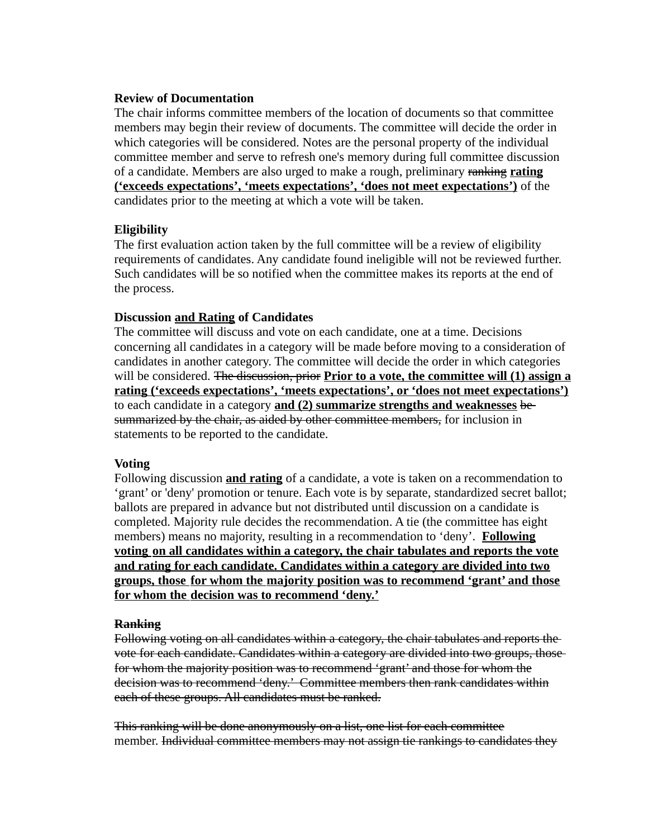#### **Review of Documentation**

The chair informs committee members of the location of documents so that committee members may begin their review of documents. The committee will decide the order in which categories will be considered. Notes are the personal property of the individual committee member and serve to refresh one's memory during full committee discussion of a candidate. Members are also urged to make a rough, preliminary ranking **rating ('exceeds expectations', 'meets expectations', 'does not meet expectations')** of the candidates prior to the meeting at which a vote will be taken.

#### **Eligibility**

The first evaluation action taken by the full committee will be a review of eligibility requirements of candidates. Any candidate found ineligible will not be reviewed further. Such candidates will be so notified when the committee makes its reports at the end of the process.

## **Discussion and Rating of Candidates**

The committee will discuss and vote on each candidate, one at a time. Decisions concerning all candidates in a category will be made before moving to a consideration of candidates in another category. The committee will decide the order in which categories will be considered. The discussion, prior **Prior to a vote, the committee will (1) assign a rating ('exceeds expectations', 'meets expectations', or 'does not meet expectations')** to each candidate in a category **and (2) summarize strengths and weaknesses** be summarized by the chair, as aided by other committee members, for inclusion in statements to be reported to the candidate.

#### **Voting**

Following discussion **and rating** of a candidate, a vote is taken on a recommendation to 'grant' or 'deny' promotion or tenure. Each vote is by separate, standardized secret ballot; ballots are prepared in advance but not distributed until discussion on a candidate is completed. Majority rule decides the recommendation. A tie (the committee has eight members) means no majority, resulting in a recommendation to 'deny'. **Following** voting on all candidates within a category, the chair tabulates and reports the vote **and rating for each candidate. Candidates within a category are divided into two groups, those for whom the majority position was to recommend 'grant' and those for whom the decision was to recommend 'deny.'**

#### **Ranking**

Following voting on all candidates within a category, the chair tabulates and reports the vote for each candidate. Candidates within a category are divided into two groups, those for whom the majority position was to recommend 'grant' and those for whom the decision was to recommend 'deny.' Committee members then rank candidates within each of these groups. All candidates must be ranked.

This ranking will be done anonymously on a list, one list for each committee member. Individual committee members may not assign tie rankings to candidates they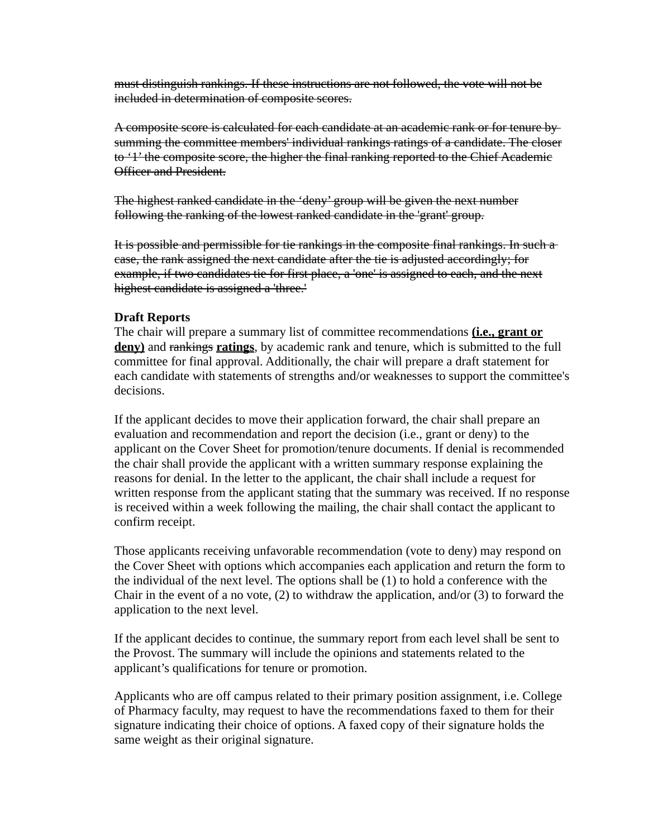must distinguish rankings. If these instructions are not followed, the vote will not be included in determination of composite scores.

A composite score is calculated for each candidate at an academic rank or for tenure by summing the committee members' individual rankings ratings of a candidate. The closer to '1' the composite score, the higher the final ranking reported to the Chief Academic Officer and President.

The highest ranked candidate in the 'deny' group will be given the next number following the ranking of the lowest ranked candidate in the 'grant' group.

It is possible and permissible for tie rankings in the composite final rankings. In such a case, the rank assigned the next candidate after the tie is adjusted accordingly; for example, if two candidates tie for first place, a 'one' is assigned to each, and the next highest candidate is assigned a 'three.'

#### **Draft Reports**

The chair will prepare a summary list of committee recommendations **(i.e., grant or deny)** and rankings **ratings**, by academic rank and tenure, which is submitted to the full committee for final approval. Additionally, the chair will prepare a draft statement for each candidate with statements of strengths and/or weaknesses to support the committee's decisions.

If the applicant decides to move their application forward, the chair shall prepare an evaluation and recommendation and report the decision (i.e., grant or deny) to the applicant on the Cover Sheet for promotion/tenure documents. If denial is recommended the chair shall provide the applicant with a written summary response explaining the reasons for denial. In the letter to the applicant, the chair shall include a request for written response from the applicant stating that the summary was received. If no response is received within a week following the mailing, the chair shall contact the applicant to confirm receipt.

Those applicants receiving unfavorable recommendation (vote to deny) may respond on the Cover Sheet with options which accompanies each application and return the form to the individual of the next level. The options shall be (1) to hold a conference with the Chair in the event of a no vote, (2) to withdraw the application, and/or (3) to forward the application to the next level.

If the applicant decides to continue, the summary report from each level shall be sent to the Provost. The summary will include the opinions and statements related to the applicant's qualifications for tenure or promotion.

Applicants who are off campus related to their primary position assignment, i.e. College of Pharmacy faculty, may request to have the recommendations faxed to them for their signature indicating their choice of options. A faxed copy of their signature holds the same weight as their original signature.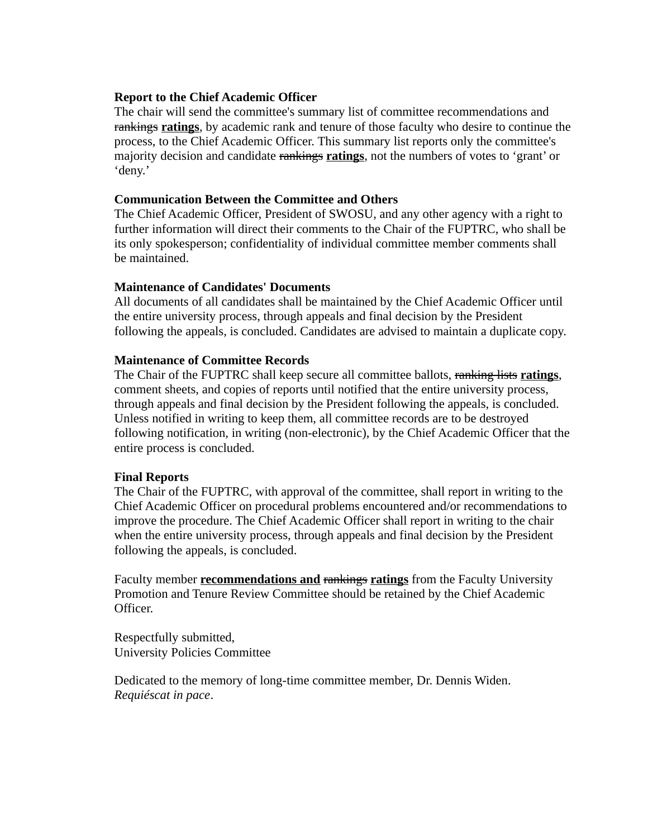#### **Report to the Chief Academic Officer**

The chair will send the committee's summary list of committee recommendations and rankings **ratings**, by academic rank and tenure of those faculty who desire to continue the process, to the Chief Academic Officer. This summary list reports only the committee's majority decision and candidate rankings **ratings**, not the numbers of votes to 'grant' or 'deny.'

#### **Communication Between the Committee and Others**

The Chief Academic Officer, President of SWOSU, and any other agency with a right to further information will direct their comments to the Chair of the FUPTRC, who shall be its only spokesperson; confidentiality of individual committee member comments shall be maintained.

#### **Maintenance of Candidates' Documents**

All documents of all candidates shall be maintained by the Chief Academic Officer until the entire university process, through appeals and final decision by the President following the appeals, is concluded. Candidates are advised to maintain a duplicate copy.

## **Maintenance of Committee Records**

The Chair of the FUPTRC shall keep secure all committee ballots, ranking lists **ratings**, comment sheets, and copies of reports until notified that the entire university process, through appeals and final decision by the President following the appeals, is concluded. Unless notified in writing to keep them, all committee records are to be destroyed following notification, in writing (non-electronic), by the Chief Academic Officer that the entire process is concluded.

## **Final Reports**

The Chair of the FUPTRC, with approval of the committee, shall report in writing to the Chief Academic Officer on procedural problems encountered and/or recommendations to improve the procedure. The Chief Academic Officer shall report in writing to the chair when the entire university process, through appeals and final decision by the President following the appeals, is concluded.

Faculty member **recommendations and** rankings **ratings** from the Faculty University Promotion and Tenure Review Committee should be retained by the Chief Academic Officer.

Respectfully submitted, University Policies Committee

Dedicated to the memory of long-time committee member, Dr. Dennis Widen. *Requiéscat in pace*.